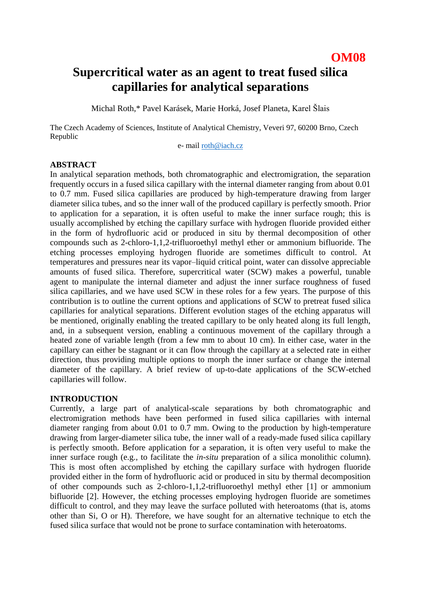# **OM08**

# **Supercritical water as an agent to treat fused silica capillaries for analytical separations**

Michal Roth,\* Pavel Karásek, Marie Horká, Josef Planeta, Karel Šlais

The Czech Academy of Sciences, Institute of Analytical Chemistry, Veveri 97, 60200 Brno, Czech Republic

e- mail [roth@iach.cz](mailto:roth@iach.cz)

#### **ABSTRACT**

In analytical separation methods, both chromatographic and electromigration, the separation frequently occurs in a fused silica capillary with the internal diameter ranging from about 0.01 to 0.7 mm. Fused silica capillaries are produced by high-temperature drawing from larger diameter silica tubes, and so the inner wall of the produced capillary is perfectly smooth. Prior to application for a separation, it is often useful to make the inner surface rough; this is usually accomplished by etching the capillary surface with hydrogen fluoride provided either in the form of hydrofluoric acid or produced in situ by thermal decomposition of other compounds such as 2-chloro-1,1,2-trifluoroethyl methyl ether or ammonium bifluoride. The etching processes employing hydrogen fluoride are sometimes difficult to control. At temperatures and pressures near its vapor–liquid critical point, water can dissolve appreciable amounts of fused silica. Therefore, supercritical water (SCW) makes a powerful, tunable agent to manipulate the internal diameter and adjust the inner surface roughness of fused silica capillaries, and we have used SCW in these roles for a few years. The purpose of this contribution is to outline the current options and applications of SCW to pretreat fused silica capillaries for analytical separations. Different evolution stages of the etching apparatus will be mentioned, originally enabling the treated capillary to be only heated along its full length, and, in a subsequent version, enabling a continuous movement of the capillary through a heated zone of variable length (from a few mm to about 10 cm). In either case, water in the capillary can either be stagnant or it can flow through the capillary at a selected rate in either direction, thus providing multiple options to morph the inner surface or change the internal diameter of the capillary. A brief review of up-to-date applications of the SCW-etched capillaries will follow.

#### **INTRODUCTION**

Currently, a large part of analytical-scale separations by both chromatographic and electromigration methods have been performed in fused silica capillaries with internal diameter ranging from about 0.01 to 0.7 mm. Owing to the production by high-temperature drawing from larger-diameter silica tube, the inner wall of a ready-made fused silica capillary is perfectly smooth. Before application for a separation, it is often very useful to make the inner surface rough (e.g., to facilitate the *in-situ* preparation of a silica monolithic column). This is most often accomplished by etching the capillary surface with hydrogen fluoride provided either in the form of hydrofluoric acid or produced in situ by thermal decomposition of other compounds such as 2-chloro-1,1,2-trifluoroethyl methyl ether [1] or ammonium bifluoride [2]. However, the etching processes employing hydrogen fluoride are sometimes difficult to control, and they may leave the surface polluted with heteroatoms (that is, atoms other than Si, O or H). Therefore, we have sought for an alternative technique to etch the fused silica surface that would not be prone to surface contamination with heteroatoms.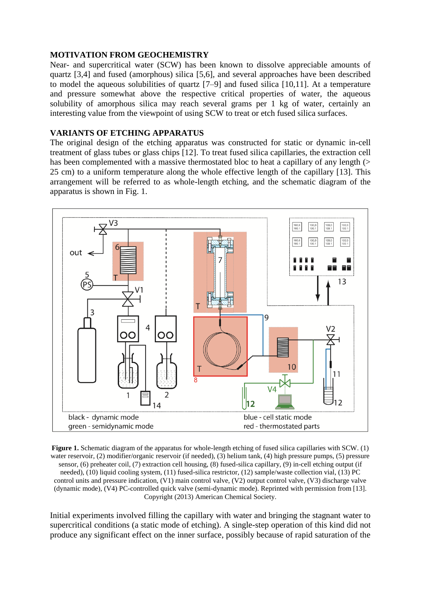#### **MOTIVATION FROM GEOCHEMISTRY**

Near- and supercritical water (SCW) has been known to dissolve appreciable amounts of quartz [3,4] and fused (amorphous) silica [5,6], and several approaches have been described to model the aqueous solubilities of quartz [7–9] and fused silica [10,11]. At a temperature and pressure somewhat above the respective critical properties of water, the aqueous solubility of amorphous silica may reach several grams per 1 kg of water, certainly an interesting value from the viewpoint of using SCW to treat or etch fused silica surfaces.

## **VARIANTS OF ETCHING APPARATUS**

The original design of the etching apparatus was constructed for static or dynamic in-cell treatment of glass tubes or glass chips [12]. To treat fused silica capillaries, the extraction cell has been complemented with a massive thermostated bloc to heat a capillary of any length (> 25 cm) to a uniform temperature along the whole effective length of the capillary [13]. This arrangement will be referred to as whole-length etching, and the schematic diagram of the apparatus is shown in Fig. 1.



**Figure 1.** Schematic diagram of the apparatus for whole-length etching of fused silica capillaries with SCW. (1) water reservoir, (2) modifier/organic reservoir (if needed), (3) helium tank, (4) high pressure pumps, (5) pressure sensor, (6) preheater coil, (7) extraction cell housing, (8) fused-silica capillary, (9) in-cell etching output (if needed), (10) liquid cooling system, (11) fused-silica restrictor, (12) sample/waste collection vial, (13) PC control units and pressure indication, (V1) main control valve, (V2) output control valve, (V3) discharge valve (dynamic mode), (V4) PC-controlled quick valve (semi-dynamic mode). Reprinted with permission from [13]. Copyright (2013) American Chemical Society.

Initial experiments involved filling the capillary with water and bringing the stagnant water to supercritical conditions (a static mode of etching). A single-step operation of this kind did not produce any significant effect on the inner surface, possibly because of rapid saturation of the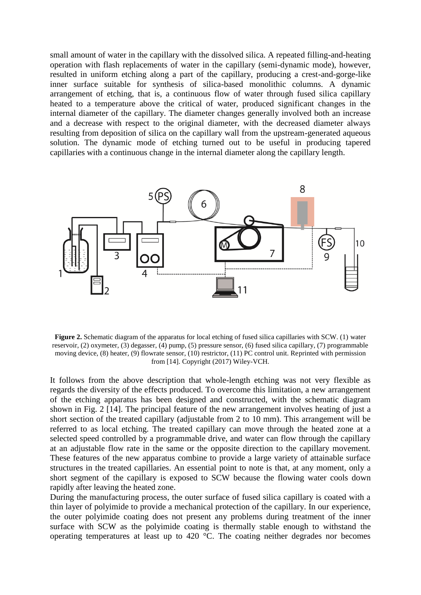small amount of water in the capillary with the dissolved silica. A repeated filling-and-heating operation with flash replacements of water in the capillary (semi-dynamic mode), however, resulted in uniform etching along a part of the capillary, producing a crest-and-gorge-like inner surface suitable for synthesis of silica-based monolithic columns. A dynamic arrangement of etching, that is, a continuous flow of water through fused silica capillary heated to a temperature above the critical of water, produced significant changes in the internal diameter of the capillary. The diameter changes generally involved both an increase and a decrease with respect to the original diameter, with the decreased diameter always resulting from deposition of silica on the capillary wall from the upstream-generated aqueous solution. The dynamic mode of etching turned out to be useful in producing tapered capillaries with a continuous change in the internal diameter along the capillary length.



**Figure 2.** Schematic diagram of the apparatus for local etching of fused silica capillaries with SCW. (1) water reservoir, (2) oxymeter, (3) degasser, (4) pump, (5) pressure sensor, (6) fused silica capillary, (7) programmable moving device, (8) heater, (9) flowrate sensor, (10) restrictor, (11) PC control unit. Reprinted with permission from [14]. Copyright (2017) Wiley-VCH.

It follows from the above description that whole-length etching was not very flexible as regards the diversity of the effects produced. To overcome this limitation, a new arrangement of the etching apparatus has been designed and constructed, with the schematic diagram shown in Fig. 2 [14]. The principal feature of the new arrangement involves heating of just a short section of the treated capillary (adjustable from 2 to 10 mm). This arrangement will be referred to as local etching. The treated capillary can move through the heated zone at a selected speed controlled by a programmable drive, and water can flow through the capillary at an adjustable flow rate in the same or the opposite direction to the capillary movement. These features of the new apparatus combine to provide a large variety of attainable surface structures in the treated capillaries. An essential point to note is that, at any moment, only a short segment of the capillary is exposed to SCW because the flowing water cools down rapidly after leaving the heated zone.

During the manufacturing process, the outer surface of fused silica capillary is coated with a thin layer of polyimide to provide a mechanical protection of the capillary. In our experience, the outer polyimide coating does not present any problems during treatment of the inner surface with SCW as the polyimide coating is thermally stable enough to withstand the operating temperatures at least up to 420 °C. The coating neither degrades nor becomes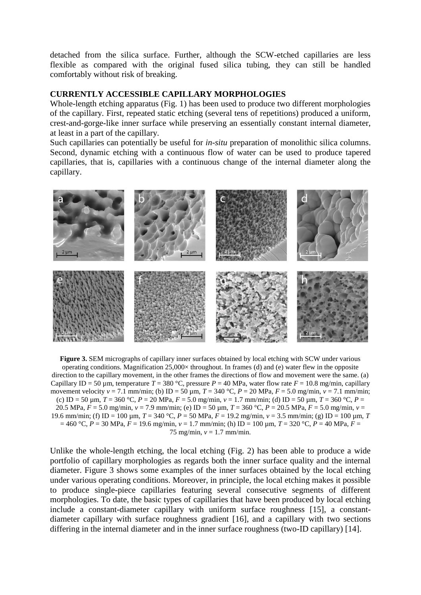detached from the silica surface. Further, although the SCW-etched capillaries are less flexible as compared with the original fused silica tubing, they can still be handled comfortably without risk of breaking.

#### **CURRENTLY ACCESSIBLE CAPILLARY MORPHOLOGIES**

Whole-length etching apparatus (Fig. 1) has been used to produce two different morphologies of the capillary. First, repeated static etching (several tens of repetitions) produced a uniform, crest-and-gorge-like inner surface while preserving an essentially constant internal diameter, at least in a part of the capillary.

Such capillaries can potentially be useful for *in-situ* preparation of monolithic silica columns. Second, dynamic etching with a continuous flow of water can be used to produce tapered capillaries, that is, capillaries with a continuous change of the internal diameter along the capillary.



**Figure 3.** SEM micrographs of capillary inner surfaces obtained by local etching with SCW under various operating conditions. Magnification  $25,000\times$  throughout. In frames (d) and (e) water flew in the opposite direction to the capillary movement, in the other frames the directions of flow and movement were the same. (a) Capillary ID = 50 µm, temperature  $T = 380$  °C, pressure  $P = 40$  MPa, water flow rate  $F = 10.8$  mg/min, capillary movement velocity  $v = 7.1$  mm/min; (b) ID = 50  $\mu$ m, *T* = 340 °C, *P* = 20 MPa, *F* = 5.0 mg/min,  $v = 7.1$  mm/min; (c) ID = 50 µm, *T* = 360 °C, *P* = 20 MPa, *F* = 5.0 mg/min, *v* = 1.7 mm/min; (d) ID = 50 µm, *T* = 360 °C, *P* = 20.5 MPa,  $F = 5.0$  mg/min,  $v = 7.9$  mm/min; (e) ID = 50 um,  $T = 360$  °C,  $P = 20.5$  MPa,  $F = 5.0$  mg/min,  $v =$ 19.6 mm/min; (f) ID = 100  $\mu$ m, *T* = 340 °C, *P* = 50 MPa, *F* = 19.2 mg/min, *v* = 3.5 mm/min; (g) ID = 100  $\mu$ m, *T*  $= 460 \degree C$ ,  $P = 30 \text{ MPa}$ ,  $F = 19.6 \text{ mg/min}$ ,  $v = 1.7 \text{ mm/min}$ ; (h) ID = 100  $\mu$ m,  $T = 320 \degree C$ ,  $P = 40 \text{ MPa}$ ,  $F = 100 \text{ mg}$ 75 mg/min, *v* = 1.7 mm/min.

Unlike the whole-length etching, the local etching (Fig. 2) has been able to produce a wide portfolio of capillary morphologies as regards both the inner surface quality and the internal diameter. Figure 3 shows some examples of the inner surfaces obtained by the local etching under various operating conditions. Moreover, in principle, the local etching makes it possible to produce single-piece capillaries featuring several consecutive segments of different morphologies. To date, the basic types of capillaries that have been produced by local etching include a constant-diameter capillary with uniform surface roughness [15], a constantdiameter capillary with surface roughness gradient [16], and a capillary with two sections differing in the internal diameter and in the inner surface roughness (two-ID capillary) [14].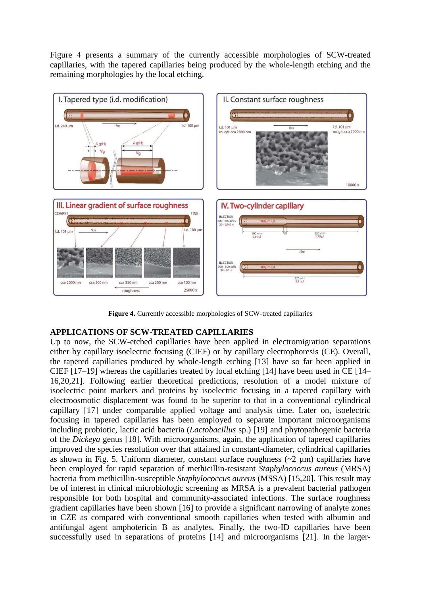Figure 4 presents a summary of the currently accessible morphologies of SCW-treated capillaries, with the tapered capillaries being produced by the whole-length etching and the remaining morphologies by the local etching.



**Figure 4.** Currently accessible morphologies of SCW-treated capillaries

# **APPLICATIONS OF SCW-TREATED CAPILLARIES**

Up to now, the SCW-etched capillaries have been applied in electromigration separations either by capillary isoelectric focusing (CIEF) or by capillary electrophoresis (CE). Overall, the tapered capillaries produced by whole-length etching [13] have so far been applied in CIEF [17–19] whereas the capillaries treated by local etching [14] have been used in CE [14– 16,20,21]. Following earlier theoretical predictions, resolution of a model mixture of isoelectric point markers and proteins by isoelectric focusing in a tapered capillary with electroosmotic displacement was found to be superior to that in a conventional cylindrical capillary [17] under comparable applied voltage and analysis time. Later on, isoelectric focusing in tapered capillaries has been employed to separate important microorganisms including probiotic, lactic acid bacteria (*Lactobacillus* sp.) [19] and phytopathogenic bacteria of the *Dickeya* genus [18]. With microorganisms, again, the application of tapered capillaries improved the species resolution over that attained in constant-diameter, cylindrical capillaries as shown in Fig. 5. Uniform diameter, constant surface roughness  $(\sim 2 \mu m)$  capillaries have been employed for rapid separation of methicillin-resistant *Staphylococcus aureus* (MRSA) bacteria from methicillin-susceptible *Staphylococcus aureus* (MSSA) [15,20]. This result may be of interest in clinical microbiologic screening as MRSA is a prevalent bacterial pathogen responsible for both hospital and community-associated infections. The surface roughness gradient capillaries have been shown [16] to provide a significant narrowing of analyte zones in CZE as compared with conventional smooth capillaries when tested with albumin and antifungal agent amphotericin B as analytes. Finally, the two-ID capillaries have been successfully used in separations of proteins [14] and microorganisms [21]. In the larger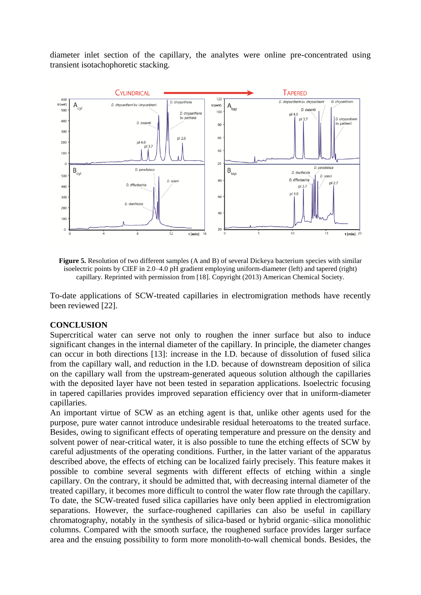diameter inlet section of the capillary, the analytes were online pre-concentrated using transient isotachophoretic stacking.



**Figure 5.** Resolution of two different samples (A and B) of several Dickeya bacterium species with similar isoelectric points by CIEF in 2.0–4.0 pH gradient employing uniform-diameter (left) and tapered (right) capillary. Reprinted with permission from [18]. Copyright (2013) American Chemical Society.

To-date applications of SCW-treated capillaries in electromigration methods have recently been reviewed [22].

#### **CONCLUSION**

Supercritical water can serve not only to roughen the inner surface but also to induce significant changes in the internal diameter of the capillary. In principle, the diameter changes can occur in both directions [13]: increase in the I.D. because of dissolution of fused silica from the capillary wall, and reduction in the I.D. because of downstream deposition of silica on the capillary wall from the upstream-generated aqueous solution although the capillaries with the deposited layer have not been tested in separation applications. Isoelectric focusing in tapered capillaries provides improved separation efficiency over that in uniform-diameter capillaries.

An important virtue of SCW as an etching agent is that, unlike other agents used for the purpose, pure water cannot introduce undesirable residual heteroatoms to the treated surface. Besides, owing to significant effects of operating temperature and pressure on the density and solvent power of near-critical water, it is also possible to tune the etching effects of SCW by careful adjustments of the operating conditions. Further, in the latter variant of the apparatus described above, the effects of etching can be localized fairly precisely. This feature makes it possible to combine several segments with different effects of etching within a single capillary. On the contrary, it should be admitted that, with decreasing internal diameter of the treated capillary, it becomes more difficult to control the water flow rate through the capillary. To date, the SCW-treated fused silica capillaries have only been applied in electromigration separations. However, the surface-roughened capillaries can also be useful in capillary chromatography, notably in the synthesis of silica-based or hybrid organic–silica monolithic columns. Compared with the smooth surface, the roughened surface provides larger surface area and the ensuing possibility to form more monolith-to-wall chemical bonds. Besides, the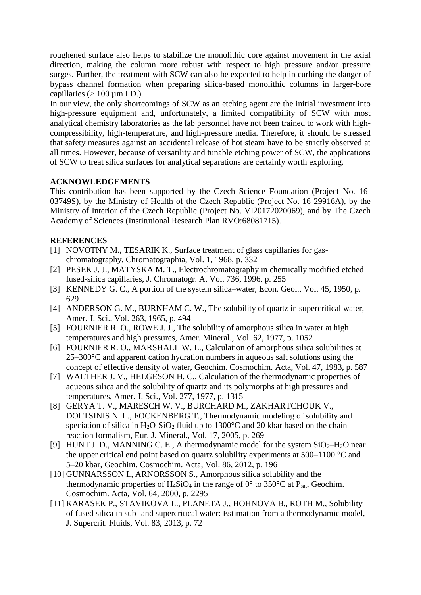roughened surface also helps to stabilize the monolithic core against movement in the axial direction, making the column more robust with respect to high pressure and/or pressure surges. Further, the treatment with SCW can also be expected to help in curbing the danger of bypass channel formation when preparing silica-based monolithic columns in larger-bore capillaries  $(> 100 \mu m \text{ I.D.})$ .

In our view, the only shortcomings of SCW as an etching agent are the initial investment into high-pressure equipment and, unfortunately, a limited compatibility of SCW with most analytical chemistry laboratories as the lab personnel have not been trained to work with highcompressibility, high-temperature, and high-pressure media. Therefore, it should be stressed that safety measures against an accidental release of hot steam have to be strictly observed at all times. However, because of versatility and tunable etching power of SCW, the applications of SCW to treat silica surfaces for analytical separations are certainly worth exploring.

# **ACKNOWLEDGEMENTS**

This contribution has been supported by the Czech Science Foundation (Project No. 16- 03749S), by the Ministry of Health of the Czech Republic (Project No. 16-29916A), by the Ministry of Interior of the Czech Republic (Project No. VI20172020069), and by The Czech Academy of Sciences (Institutional Research Plan RVO:68081715).

## **REFERENCES**

- [1] NOVOTNY M., TESARIK K., Surface treatment of glass capillaries for gaschromatography, Chromatographia, Vol. 1, 1968, p. 332
- [2] PESEK J. J., MATYSKA M. T., Electrochromatography in chemically modified etched fused-silica capillaries, J. Chromatogr. A, Vol. 736, 1996, p. 255
- [3] KENNEDY G. C., A portion of the system silica–water, Econ. Geol., Vol. 45, 1950, p. 629
- [4] ANDERSON G. M., BURNHAM C. W., The solubility of quartz in supercritical water, Amer. J. Sci., Vol. 263, 1965, p. 494
- [5] FOURNIER R. O., ROWE J. J., The solubility of amorphous silica in water at high temperatures and high pressures, Amer. Mineral., Vol. 62, 1977, p. 1052
- [6] FOURNIER R. O., MARSHALL W. L., Calculation of amorphous silica solubilities at 25–300°C and apparent cation hydration numbers in aqueous salt solutions using the concept of effective density of water, Geochim. Cosmochim. Acta, Vol. 47, 1983, p. 587
- [7] WALTHER J. V., HELGESON H. C., Calculation of the thermodynamic properties of aqueous silica and the solubility of quartz and its polymorphs at high pressures and temperatures, Amer. J. Sci., Vol. 277, 1977, p. 1315
- [8] GERYA T. V., MARESCH W. V., BURCHARD M., ZAKHARTCHOUK V., DOLTSINIS N. L., FOCKENBERG T., Thermodynamic modeling of solubility and speciation of silica in  $H_2O-SiO_2$  fluid up to 1300°C and 20 kbar based on the chain reaction formalism, Eur. J. Mineral., Vol. 17, 2005, p. 269
- [9] HUNT J. D., MANNING C. E., A thermodynamic model for the system  $SiO_2-H_2O$  near the upper critical end point based on quartz solubility experiments at 500–1100 °C and 5–20 kbar, Geochim. Cosmochim. Acta, Vol. 86, 2012, p. 196
- [10] GUNNARSSON I., ARNORSSON S., Amorphous silica solubility and the thermodynamic properties of H<sub>4</sub>SiO<sub>4</sub> in the range of  $0^{\circ}$  to 350<sup>o</sup>C at P<sub>sat</sub>, Geochim. Cosmochim. Acta, Vol. 64, 2000, p. 2295
- [11] KARASEK P., STAVIKOVA L., PLANETA J., HOHNOVA B., ROTH M., Solubility of fused silica in sub- and supercritical water: Estimation from a thermodynamic model, J. Supercrit. Fluids, Vol. 83, 2013, p. 72